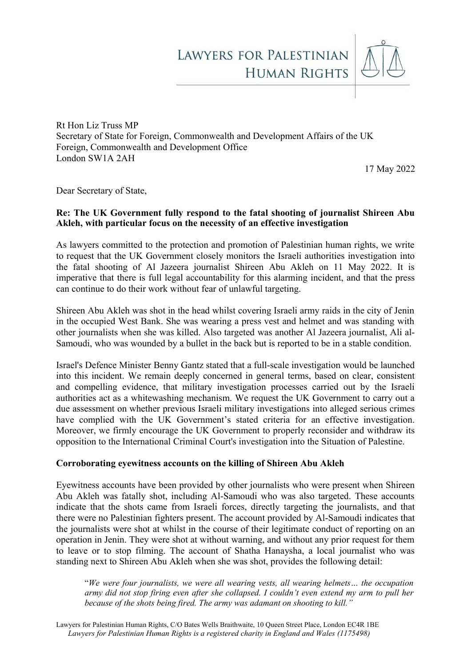

Rt Hon Liz Truss MP Secretary of State for Foreign, Commonwealth and Development Affairs of the UK Foreign, Commonwealth and Development Office London SW1A 2AH

17 May 2022

Dear Secretary of State,

# **Re: The UK Government fully respond to the fatal shooting of journalist Shireen Abu Akleh, with particular focus on the necessity of an effective investigation**

As lawyers committed to the protection and promotion of Palestinian human rights, we write to request that the UK Government closely monitors the Israeli authorities investigation into the fatal shooting of Al Jazeera journalist Shireen Abu Akleh on 11 May 2022. It is imperative that there is full legal accountability for this alarming incident, and that the press can continue to do their work without fear of unlawful targeting.

Shireen Abu Akleh was shot in the head whilst covering Israeli army raids in the city of Jenin in the occupied West Bank. She was wearing a press vest and helmet and was standing with other journalists when she was killed. Also targeted was another Al Jazeera journalist, Ali al-Samoudi, who was wounded by a bullet in the back but is reported to be in a stable condition.

Israel's Defence Minister Benny Gantz stated that a full-scale investigation would be launched into this incident. We remain deeply concerned in general terms, based on clear, consistent and compelling evidence, that military investigation processes carried out by the Israeli authorities act as a whitewashing mechanism. We request the UK Government to carry out a due assessment on whether previous Israeli military investigations into alleged serious crimes have complied with the UK Government's stated criteria for an effective investigation. Moreover, we firmly encourage the UK Government to properly reconsider and withdraw its opposition to the International Criminal Court's investigation into the Situation of Palestine.

#### **Corroborating eyewitness accounts on the killing of Shireen Abu Akleh**

Eyewitness accounts have been provided by other journalists who were present when Shireen Abu Akleh was fatally shot, including Al-Samoudi who was also targeted. These accounts indicate that the shots came from Israeli forces, directly targeting the journalists, and that there were no Palestinian fighters present. The account provided by Al-Samoudi indicates that the journalists were shot at whilst in the course of their legitimate conduct of reporting on an operation in Jenin. They were shot at without warning, and without any prior request for them to leave or to stop filming. The account of Shatha Hanaysha, a local journalist who was standing next to Shireen Abu Akleh when she was shot, provides the following detail:

"*We were four journalists, we were all wearing vests, all wearing helmets… the occupation army did not stop firing even after she collapsed. I couldn't even extend my arm to pull her because of the shots being fired. The army was adamant on shooting to kill."*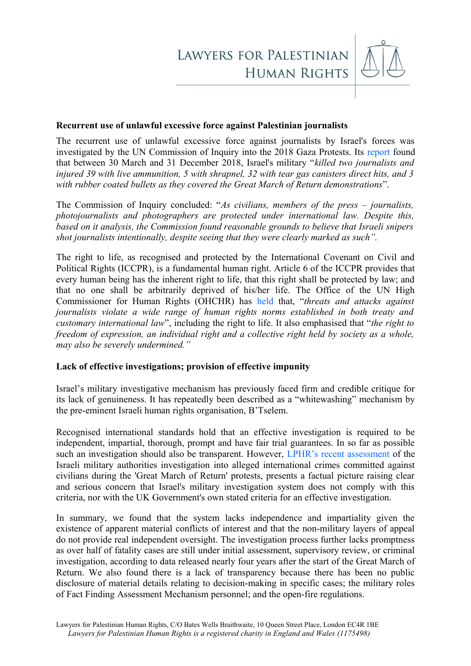

### **Recurrent use of unlawful excessive force against Palestinian journalists**

The recurrent use of unlawful excessive force against journalists by Israel's forces was investigated by the UN Commission of Inquiry into the 2018 Gaza Protests. Its [report](https://www.ohchr.org/sites/default/files/HRBodies/HRC/RegularSessions/Session40/Documents/A_HRC_40_74_CRP2.pdf) found that between 30 March and 31 December 2018, Israel's military "*killed two journalists and injured 39 with live ammunition, 5 with shrapnel, 32 with tear gas canisters direct hits, and 3 with rubber coated bullets as they covered the Great March of Return demonstrations*".

The Commission of Inquiry concluded: "*As civilians, members of the press – journalists, photojournalists and photographers are protected under international law. Despite this, based on it analysis, the Commission found reasonable grounds to believe that Israeli snipers shot journalists intentionally, despite seeing that they were clearly marked as such".*

The right to life, as recognised and protected by the International Covenant on Civil and Political Rights (ICCPR), is a fundamental human right. Article 6 of the ICCPR provides that every human being has the inherent right to life, that this right shall be protected by law; and that no one shall be arbitrarily deprived of his/her life. The Office of the UN High Commissioner for Human Rights (OHCHR) has [held](https://documents-dds-ny.un.org/doc/UNDOC/GEN/G13/153/19/PDF/G1315319.pdf?OpenElement) that, "*threats and attacks against journalists violate a wide range of human rights norms established in both treaty and customary international law*", including the right to life. It also emphasised that "*the right to freedom of expression, an individual right and a collective right held by society as a whole, may also be severely undermined."* 

## **Lack of effective investigations; provision of effective impunity**

Israel's military investigative mechanism has previously faced firm and credible critique for its lack of genuineness. It has repeatedly been described as a "whitewashing" mechanism by the pre-eminent Israeli human rights organisation, B'Tselem.

Recognised international standards hold that an effective investigation is required to be independent, impartial, thorough, prompt and have fair trial guarantees. In so far as possible such an investigation should also be transparent. However, [LPHR's recent assessment](https://lphr.org.uk/wp-content/uploads/2022/03/LPHR-briefing-GMR-protests-Assessing-Israels-compliance-with-UK-effective-investigation-criteria-30-March-2022.pdf) of the Israeli military authorities investigation into alleged international crimes committed against civilians during the 'Great March of Return' protests, presents a factual picture raising clear and serious concern that Israel's military investigation system does not comply with this criteria, nor with the UK Government's own stated criteria for an effective investigation.

In summary, we found that the system lacks independence and impartiality given the existence of apparent material conflicts of interest and that the non-military layers of appeal do not provide real independent oversight. The investigation process further lacks promptness as over half of fatality cases are still under initial assessment, supervisory review, or criminal investigation, according to data released nearly four years after the start of the Great March of Return. We also found there is a lack of transparency because there has been no public disclosure of material details relating to decision-making in specific cases; the military roles of Fact Finding Assessment Mechanism personnel; and the open-fire regulations.